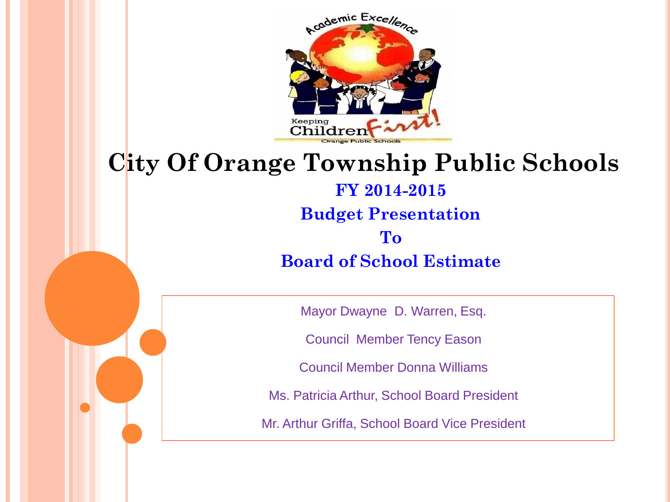

#### **City Of Orange Township Public Schools FY 2014-2015 Budget Presentation To**

**Board of School Estimate**

Mayor Dwayne D. Warren, Esq.

Council Member Tency Eason

Council Member Donna Williams

Ms. Patricia Arthur, School Board President

Mr. Arthur Griffa, School Board Vice President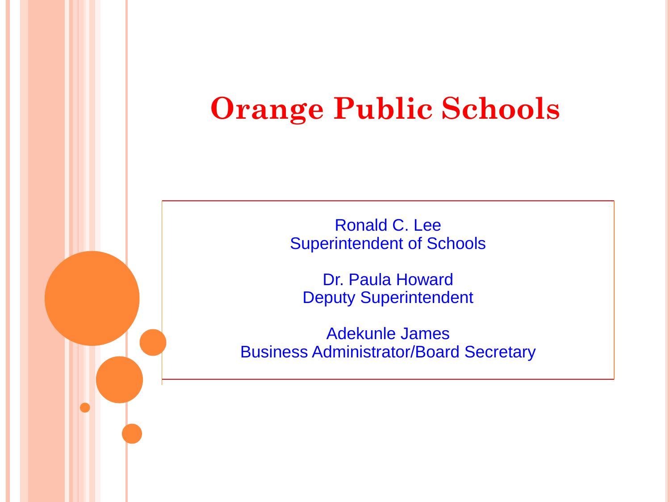# **Orange Public Schools**

Ronald C. Lee Superintendent of Schools

Dr. Paula Howard Deputy Superintendent

Adekunle James Business Administrator/Board Secretary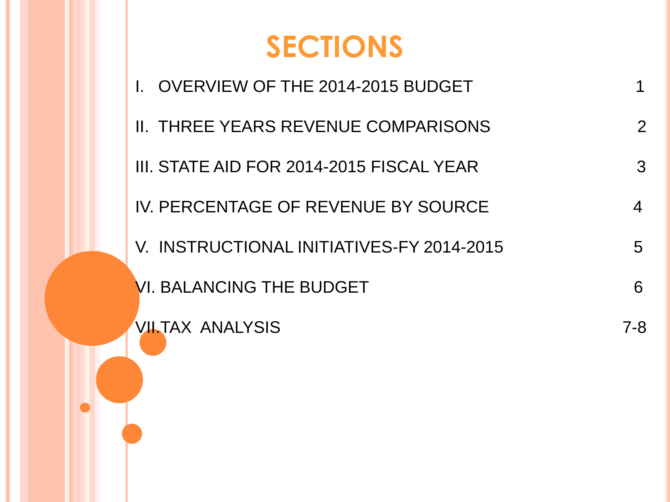# **SECTIONS**

I. OVERVIEW OF THE 2014-2015 BUDGET 1 II. THREE YEARS REVENUE COMPARISONS 2 III. STATE AID FOR 2014-2015 FISCAL YEAR 3 IV. PERCENTAGE OF REVENUE BY SOURCE 4 V. INSTRUCTIONAL INITIATIVES-FY 2014-2015 VI. BALANCING THE BUDGET **6** 6 VII.TAX ANALYSIS 7-8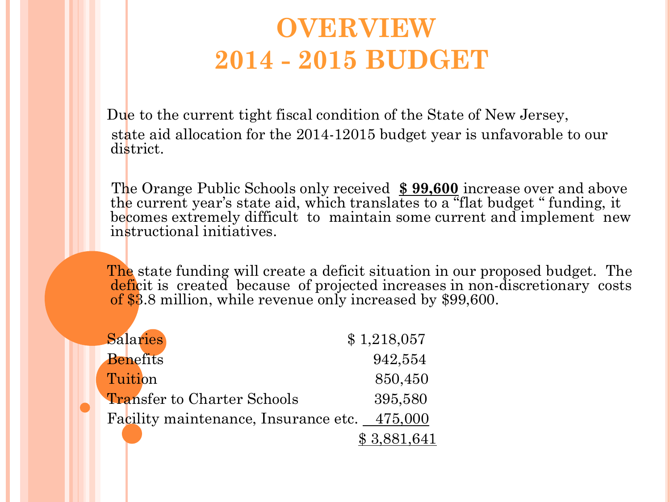### **OVERVIEW 2014 - 2015 BUDGET**

 Due to the current tight fiscal condition of the State of New Jersey, state aid allocation for the 2014-12015 budget year is unfavorable to our district.

 The Orange Public Schools only received **\$ 99,600** increase over and above the current year's state aid, which translates to a "flat budget " funding, it becomes extremely difficult to maintain some current and implement new instructional initiatives.

 The state funding will create a deficit situation in our proposed budget. The deficit is created because of projected increases in non-discretionary costs of \$3.8 million, while revenue only increased by \$99,600.

| <b>Salaries</b>                      | \$1,218,057 |
|--------------------------------------|-------------|
| <b>Benefits</b>                      | 942,554     |
| Tuition                              | 850,450     |
| <b>Transfer to Charter Schools</b>   | 395,580     |
| Facility maintenance, Insurance etc. | 475,000     |
|                                      | \$3,881,641 |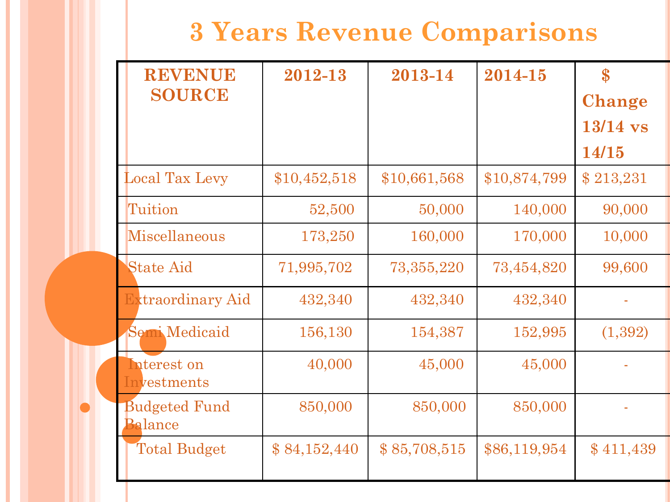### **3 Years Revenue Comparisons**

| <b>REVENUE</b>                         | 2012-13      | 2013-14      | 2014-15      | $\mathbf{S}$  |
|----------------------------------------|--------------|--------------|--------------|---------------|
| <b>SOURCE</b>                          |              |              |              | <b>Change</b> |
|                                        |              |              |              | $13/14$ vs    |
|                                        |              |              |              | 14/15         |
| <b>Local Tax Levy</b>                  | \$10,452,518 | \$10,661,568 | \$10,874,799 | \$213,231     |
| Tuition                                | 52,500       | 50,000       | 140,000      | 90,000        |
| Miscellaneous                          | 173,250      | 160,000      | 170,000      | 10,000        |
| <b>State Aid</b>                       | 71,995,702   | 73, 355, 220 | 73,454,820   | 99,600        |
| <b>Extraordinary Aid</b>               | 432,340      | 432,340      | 432,340      |               |
| <b>Semi Medicaid</b>                   | 156,130      | 154,387      | 152,995      | (1, 392)      |
| Interest on<br>Investments             | 40,000       | 45,000       | 45,000       |               |
| <b>Budgeted Fund</b><br><b>Balance</b> | 850,000      | 850,000      | 850,000      |               |
| <b>Total Budget</b>                    | \$84,152,440 | \$85,708,515 | \$86,119,954 | \$411,439     |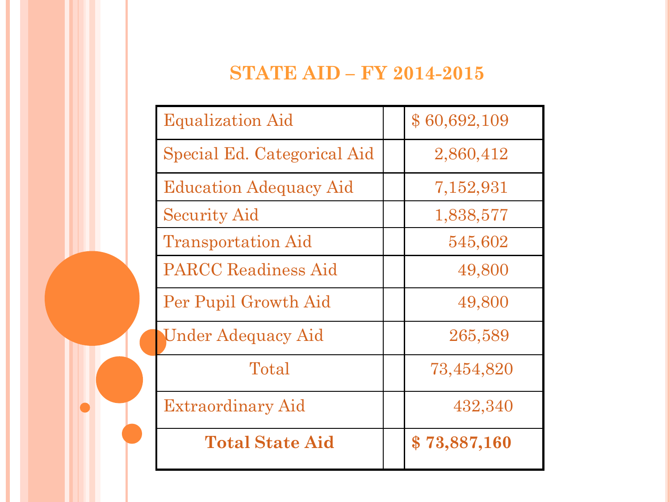#### **STATE AID – FY 2014-2015**

| <b>Equalization Aid</b>       | \$60,692,109 |
|-------------------------------|--------------|
| Special Ed. Categorical Aid   | 2,860,412    |
| <b>Education Adequacy Aid</b> | 7,152,931    |
| <b>Security Aid</b>           | 1,838,577    |
| <b>Transportation Aid</b>     | 545,602      |
| <b>PARCC</b> Readiness Aid    | 49,800       |
| Per Pupil Growth Aid          | 49,800       |
| <b>Under Adequacy Aid</b>     | 265,589      |
| Total                         | 73,454,820   |
| Extraordinary Aid             | 432,340      |
| <b>Total State Aid</b>        | \$73,887,160 |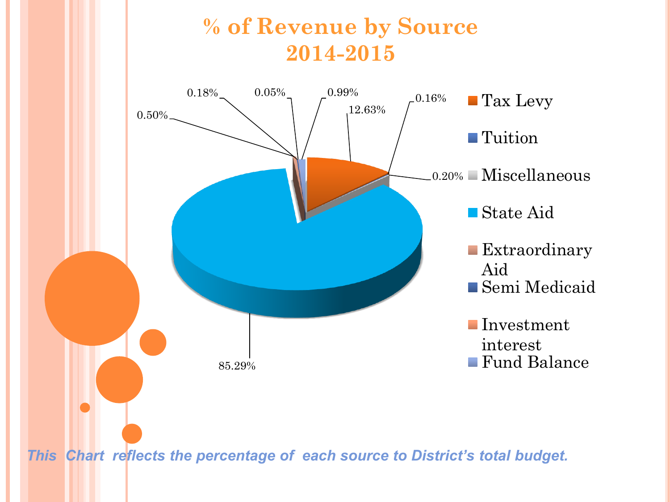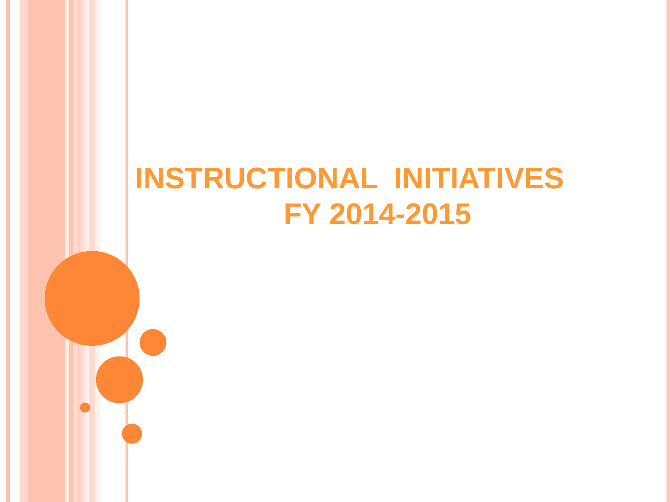# **INSTRUCTIONAL INITIATIVES FY 2014-2015**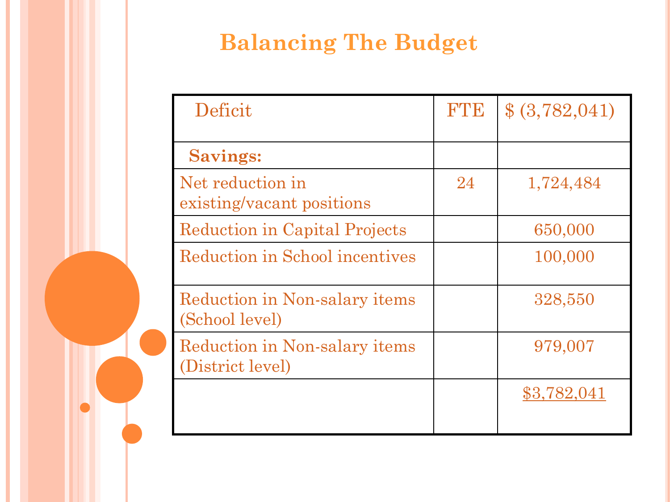### **Balancing The Budget**

| Deficit                                                  | <b>R'TB</b> | \$ (3,782,041) |
|----------------------------------------------------------|-------------|----------------|
| <b>Savings:</b>                                          |             |                |
| Net reduction in<br>existing/vacant positions            | 24          | 1,724,484      |
| <b>Reduction in Capital Projects</b>                     |             | 650,000        |
| Reduction in School incentives                           |             | 100,000        |
| Reduction in Non-salary items<br>(School level)          |             | 328,550        |
| <b>Reduction in Non-salary items</b><br>(District level) |             | 979,007        |
|                                                          |             | \$3,782,041    |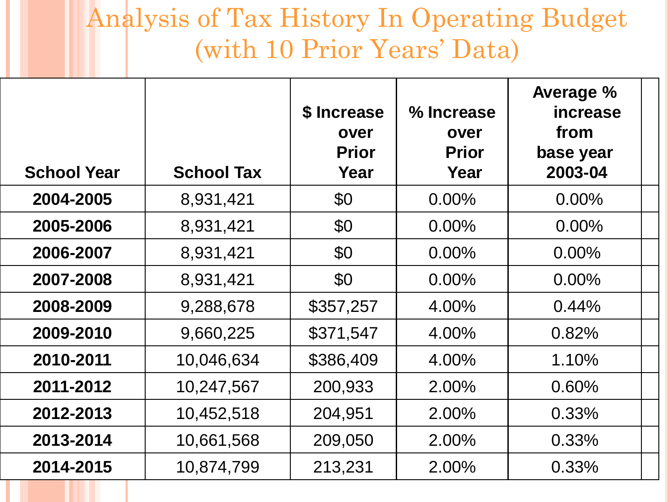### Analysis of Tax History In Operating Budget (with 10 Prior Years' Data)

| <b>School Year</b> | <b>School Tax</b> | \$ Increase<br>over<br><b>Prior</b><br>Year | % Increase<br>over<br><b>Prior</b><br>Year | Average %<br>increase<br>from<br>base year<br>2003-04 |  |
|--------------------|-------------------|---------------------------------------------|--------------------------------------------|-------------------------------------------------------|--|
|                    |                   |                                             |                                            |                                                       |  |
| 2004-2005          | 8,931,421         | \$0                                         | $0.00\%$                                   | $0.00\%$                                              |  |
| 2005-2006          | 8,931,421         | \$0                                         | $0.00\%$                                   | $0.00\%$                                              |  |
| 2006-2007          | 8,931,421         | \$0                                         | $0.00\%$                                   | $0.00\%$                                              |  |
| 2007-2008          | 8,931,421         | \$0                                         | $0.00\%$                                   | $0.00\%$                                              |  |
| 2008-2009          | 9,288,678         | \$357,257                                   | 4.00%                                      | 0.44%                                                 |  |
| 2009-2010          | 9,660,225         | \$371,547                                   | 4.00%                                      | 0.82%                                                 |  |
| 2010-2011          | 10,046,634        | \$386,409                                   | 4.00%                                      | 1.10%                                                 |  |
| 2011-2012          | 10,247,567        | 200,933                                     | 2.00%                                      | 0.60%                                                 |  |
| 2012-2013          | 10,452,518        | 204,951                                     | 2.00%                                      | 0.33%                                                 |  |
| 2013-2014          | 10,661,568        | 209,050                                     | 2.00%                                      | 0.33%                                                 |  |
| 2014-2015          | 10,874,799        | 213,231                                     | 2.00%                                      | 0.33%                                                 |  |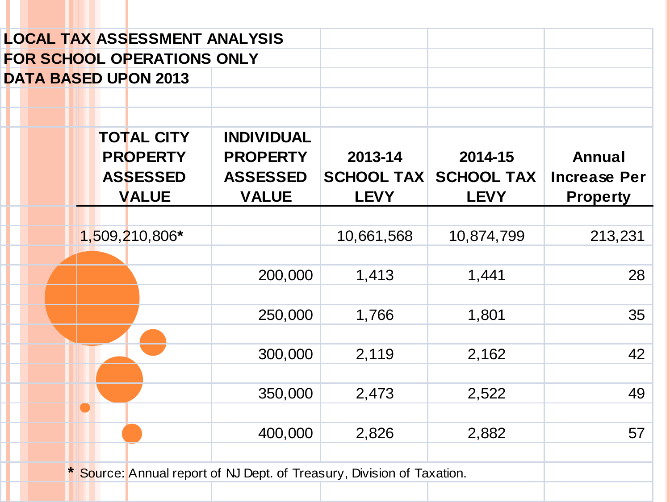|  | <b>LOCAL TAX ASSESSMENT ANALYSIS</b>                                    |                                                                         |                                             |                                             |                                                  |
|--|-------------------------------------------------------------------------|-------------------------------------------------------------------------|---------------------------------------------|---------------------------------------------|--------------------------------------------------|
|  | <b>FOR SCHOOL OPERATIONS ONLY</b>                                       |                                                                         |                                             |                                             |                                                  |
|  | <b>DATA BASED UPON 2013</b>                                             |                                                                         |                                             |                                             |                                                  |
|  |                                                                         |                                                                         |                                             |                                             |                                                  |
|  | <b>TOTAL CITY</b><br><b>PROPERTY</b><br><b>ASSESSED</b><br><b>VALUE</b> | <b>INDIVIDUAL</b><br><b>PROPERTY</b><br><b>ASSESSED</b><br><b>VALUE</b> | 2013-14<br><b>SCHOOL TAX</b><br><b>LEVY</b> | 2014-15<br><b>SCHOOL TAX</b><br><b>LEVY</b> | Annual<br><b>Increase Per</b><br><b>Property</b> |
|  |                                                                         |                                                                         |                                             |                                             |                                                  |
|  | 1,509,210,806*                                                          |                                                                         | 10,661,568                                  | 10,874,799                                  | 213,231                                          |
|  |                                                                         |                                                                         |                                             |                                             |                                                  |
|  |                                                                         | 200,000                                                                 | 1,413                                       | 1,441                                       | 28                                               |
|  |                                                                         |                                                                         |                                             |                                             |                                                  |
|  |                                                                         | 250,000                                                                 | 1,766                                       | 1,801                                       | 35                                               |
|  |                                                                         |                                                                         |                                             |                                             |                                                  |
|  |                                                                         | 300,000                                                                 | 2,119                                       | 2,162                                       | 42                                               |
|  |                                                                         |                                                                         |                                             |                                             |                                                  |
|  |                                                                         | 350,000                                                                 | 2,473                                       | 2,522                                       | 49                                               |
|  |                                                                         |                                                                         |                                             |                                             |                                                  |
|  |                                                                         | 400,000                                                                 | 2,826                                       | 2,882                                       | 57                                               |
|  |                                                                         |                                                                         |                                             |                                             |                                                  |
|  |                                                                         | * Source: Annual report of NJ Dept. of Treasury, Division of Taxation.  |                                             |                                             |                                                  |
|  |                                                                         |                                                                         |                                             |                                             |                                                  |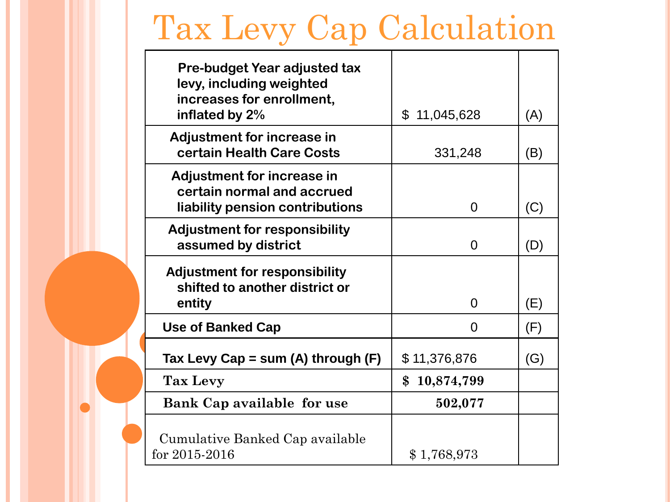# Tax Levy Cap Calculation

| Pre-budget Year adjusted tax<br>levy, including weighted                                    |                  |     |
|---------------------------------------------------------------------------------------------|------------------|-----|
| increases for enrollment,<br>inflated by 2%                                                 | \$<br>11,045,628 | (A) |
| <b>Adjustment for increase in</b><br>certain Health Care Costs                              | 331,248          | (B) |
| Adjustment for increase in<br>certain normal and accrued<br>liability pension contributions | 0                | (C) |
| <b>Adjustment for responsibility</b><br>assumed by district                                 | $\Omega$         | (D) |
| <b>Adjustment for responsibility</b><br>shifted to another district or<br>entity            | 0                | (E) |
| <b>Use of Banked Cap</b>                                                                    | 0                | (F) |
| Tax Levy Cap = sum (A) through $(F)$                                                        | \$11,376,876     | (G) |
| <b>Tax Levy</b>                                                                             | \$<br>10,874,799 |     |
| <b>Bank Cap available for use</b>                                                           | 502,077          |     |
| Cumulative Banked Cap available<br>for 2015-2016                                            | \$1,768,973      |     |